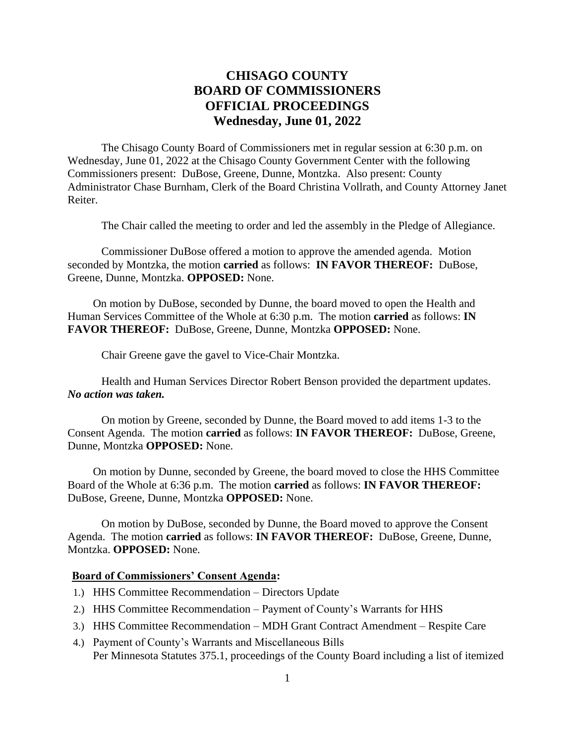## **CHISAGO COUNTY BOARD OF COMMISSIONERS OFFICIAL PROCEEDINGS Wednesday, June 01, 2022**

The Chisago County Board of Commissioners met in regular session at 6:30 p.m. on Wednesday, June 01, 2022 at the Chisago County Government Center with the following Commissioners present: DuBose, Greene, Dunne, Montzka. Also present: County Administrator Chase Burnham, Clerk of the Board Christina Vollrath, and County Attorney Janet Reiter.

The Chair called the meeting to order and led the assembly in the Pledge of Allegiance.

Commissioner DuBose offered a motion to approve the amended agenda. Motion seconded by Montzka, the motion **carried** as follows: **IN FAVOR THEREOF:** DuBose, Greene, Dunne, Montzka. **OPPOSED:** None.

On motion by DuBose, seconded by Dunne, the board moved to open the Health and Human Services Committee of the Whole at 6:30 p.m. The motion **carried** as follows: **IN FAVOR THEREOF:** DuBose, Greene, Dunne, Montzka **OPPOSED:** None.

Chair Greene gave the gavel to Vice-Chair Montzka.

Health and Human Services Director Robert Benson provided the department updates. *No action was taken.*

On motion by Greene, seconded by Dunne, the Board moved to add items 1-3 to the Consent Agenda. The motion **carried** as follows: **IN FAVOR THEREOF:** DuBose, Greene, Dunne, Montzka **OPPOSED:** None.

On motion by Dunne, seconded by Greene, the board moved to close the HHS Committee Board of the Whole at 6:36 p.m. The motion **carried** as follows: **IN FAVOR THEREOF:** DuBose, Greene, Dunne, Montzka **OPPOSED:** None.

On motion by DuBose, seconded by Dunne, the Board moved to approve the Consent Agenda. The motion **carried** as follows: **IN FAVOR THEREOF:** DuBose, Greene, Dunne, Montzka. **OPPOSED:** None.

## **Board of Commissioners' Consent Agenda:**

- 1.) HHS Committee Recommendation Directors Update
- 2.) HHS Committee Recommendation Payment of County's Warrants for HHS
- 3.) HHS Committee Recommendation MDH Grant Contract Amendment Respite Care
- 4.) Payment of County's Warrants and Miscellaneous Bills Per Minnesota Statutes 375.1, proceedings of the County Board including a list of itemized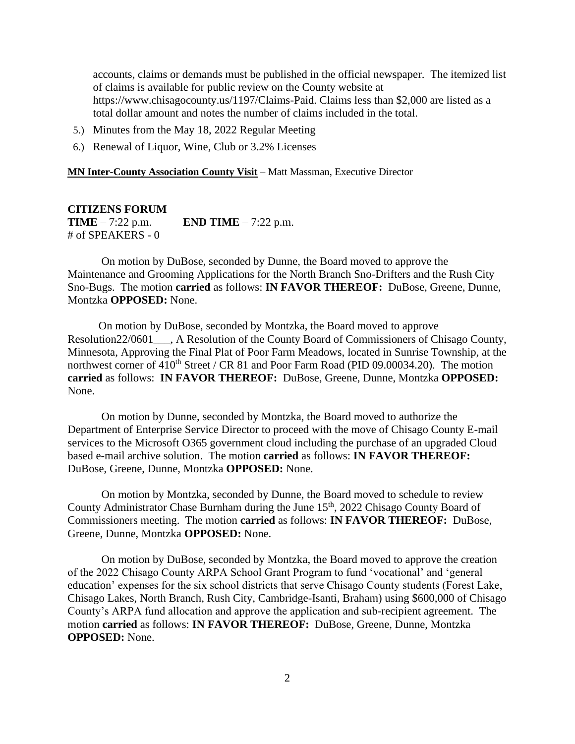accounts, claims or demands must be published in the official newspaper. The itemized list of claims is available for public review on the County website at https://www.chisagocounty.us/1197/Claims-Paid. Claims less than \$2,000 are listed as a total dollar amount and notes the number of claims included in the total.

- 5.) Minutes from the May 18, 2022 Regular Meeting
- 6.) Renewal of Liquor, Wine, Club or 3.2% Licenses

**MN Inter-County Association County Visit** – Matt Massman, Executive Director

## **CITIZENS FORUM**

**TIME** – 7:22 p.m. **END TIME** – 7:22 p.m. # of SPEAKERS - 0

On motion by DuBose, seconded by Dunne, the Board moved to approve the Maintenance and Grooming Applications for the North Branch Sno-Drifters and the Rush City Sno-Bugs. The motion **carried** as follows: **IN FAVOR THEREOF:** DuBose, Greene, Dunne, Montzka **OPPOSED:** None.

 On motion by DuBose, seconded by Montzka, the Board moved to approve Resolution22/0601\_\_\_, A Resolution of the County Board of Commissioners of Chisago County, Minnesota, Approving the Final Plat of Poor Farm Meadows, located in Sunrise Township, at the northwest corner of  $410^{th}$  Street / CR 81 and Poor Farm Road (PID 09.00034.20). The motion **carried** as follows: **IN FAVOR THEREOF:** DuBose, Greene, Dunne, Montzka **OPPOSED:** None.

On motion by Dunne, seconded by Montzka, the Board moved to authorize the Department of Enterprise Service Director to proceed with the move of Chisago County E-mail services to the Microsoft O365 government cloud including the purchase of an upgraded Cloud based e-mail archive solution. The motion **carried** as follows: **IN FAVOR THEREOF:** DuBose, Greene, Dunne, Montzka **OPPOSED:** None.

On motion by Montzka, seconded by Dunne, the Board moved to schedule to review County Administrator Chase Burnham during the June 15<sup>th</sup>, 2022 Chisago County Board of Commissioners meeting. The motion **carried** as follows: **IN FAVOR THEREOF:** DuBose, Greene, Dunne, Montzka **OPPOSED:** None.

On motion by DuBose, seconded by Montzka, the Board moved to approve the creation of the 2022 Chisago County ARPA School Grant Program to fund 'vocational' and 'general education' expenses for the six school districts that serve Chisago County students (Forest Lake, Chisago Lakes, North Branch, Rush City, Cambridge-Isanti, Braham) using \$600,000 of Chisago County's ARPA fund allocation and approve the application and sub-recipient agreement. The motion **carried** as follows: **IN FAVOR THEREOF:** DuBose, Greene, Dunne, Montzka **OPPOSED:** None.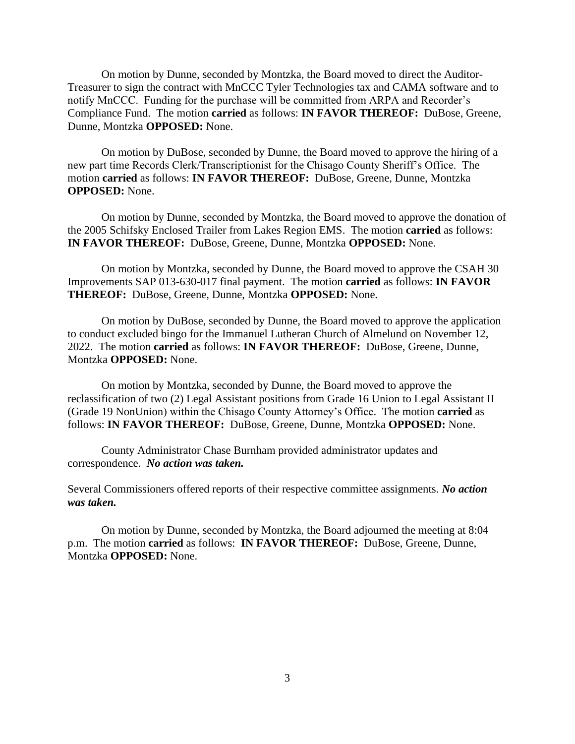On motion by Dunne, seconded by Montzka, the Board moved to direct the Auditor-Treasurer to sign the contract with MnCCC Tyler Technologies tax and CAMA software and to notify MnCCC. Funding for the purchase will be committed from ARPA and Recorder's Compliance Fund. The motion **carried** as follows: **IN FAVOR THEREOF:** DuBose, Greene, Dunne, Montzka **OPPOSED:** None.

On motion by DuBose, seconded by Dunne, the Board moved to approve the hiring of a new part time Records Clerk/Transcriptionist for the Chisago County Sheriff's Office. The motion **carried** as follows: **IN FAVOR THEREOF:** DuBose, Greene, Dunne, Montzka **OPPOSED:** None.

On motion by Dunne, seconded by Montzka, the Board moved to approve the donation of the 2005 Schifsky Enclosed Trailer from Lakes Region EMS. The motion **carried** as follows: **IN FAVOR THEREOF:** DuBose, Greene, Dunne, Montzka **OPPOSED:** None.

On motion by Montzka, seconded by Dunne, the Board moved to approve the CSAH 30 Improvements SAP 013-630-017 final payment. The motion **carried** as follows: **IN FAVOR THEREOF:** DuBose, Greene, Dunne, Montzka **OPPOSED:** None.

On motion by DuBose, seconded by Dunne, the Board moved to approve the application to conduct excluded bingo for the Immanuel Lutheran Church of Almelund on November 12, 2022. The motion **carried** as follows: **IN FAVOR THEREOF:** DuBose, Greene, Dunne, Montzka **OPPOSED:** None.

On motion by Montzka, seconded by Dunne, the Board moved to approve the reclassification of two (2) Legal Assistant positions from Grade 16 Union to Legal Assistant II (Grade 19 NonUnion) within the Chisago County Attorney's Office. The motion **carried** as follows: **IN FAVOR THEREOF:** DuBose, Greene, Dunne, Montzka **OPPOSED:** None.

County Administrator Chase Burnham provided administrator updates and correspondence. *No action was taken.*

Several Commissioners offered reports of their respective committee assignments. *No action was taken.*

On motion by Dunne, seconded by Montzka, the Board adjourned the meeting at 8:04 p.m. The motion **carried** as follows: **IN FAVOR THEREOF:** DuBose, Greene, Dunne, Montzka **OPPOSED:** None.